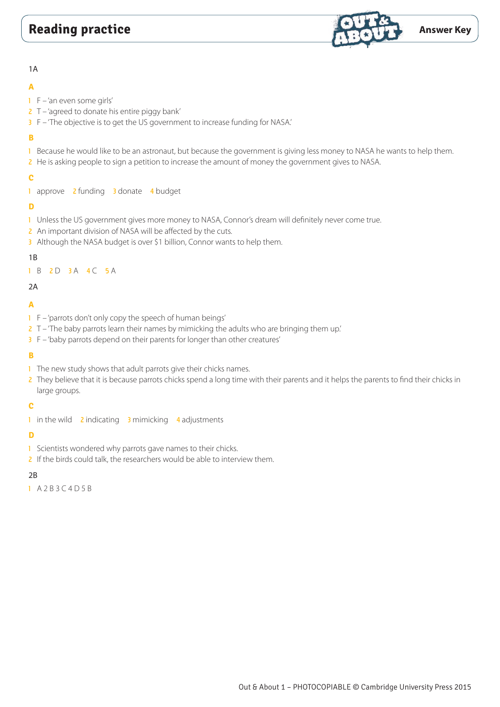

#### 1A

## **A**

- 1 F 'an even some girls'
- $2$  T 'agreed to donate his entire piggy bank'
- 3 F 'The objective is to get the US government to increase funding for NASA.'

# **B**

- 1 Because he would like to be an astronaut, but because the government is giving less money to NASA he wants to help them.
- 2 He is asking people to sign a petition to increase the amount of money the government gives to NASA.

# **C**

1 approve 2 funding 3 donate 4 budget

# **D**

- 1 Unless the US government gives more money to NASA, Connor's dream will definitely never come true.
- 2 An important division of NASA will be affected by the cuts.
- 3 Although the NASA budget is over \$1 billion, Connor wants to help them.

# 1B

1 B 2 D 3 A 4 C 5 A

# 2A

# **A**

- 1 F 'parrots don't only copy the speech of human beings'
- 2 T 'The baby parrots learn their names by mimicking the adults who are bringing them up.'
- 3 F 'baby parrots depend on their parents for longer than other creatures'

# **B**

- 1 The new study shows that adult parrots give their chicks names.
- 2 They believe that it is because parrots chicks spend a long time with their parents and it helps the parents to find their chicks in large groups.

# **C**

1 in the wild 2 indicating 3 mimicking 4 adjustments

# **D**

- 1 Scientists wondered why parrots gave names to their chicks.
- 2 If the birds could talk, the researchers would be able to interview them.

# $2B$

1 A 2 B 3 C 4 D 5 B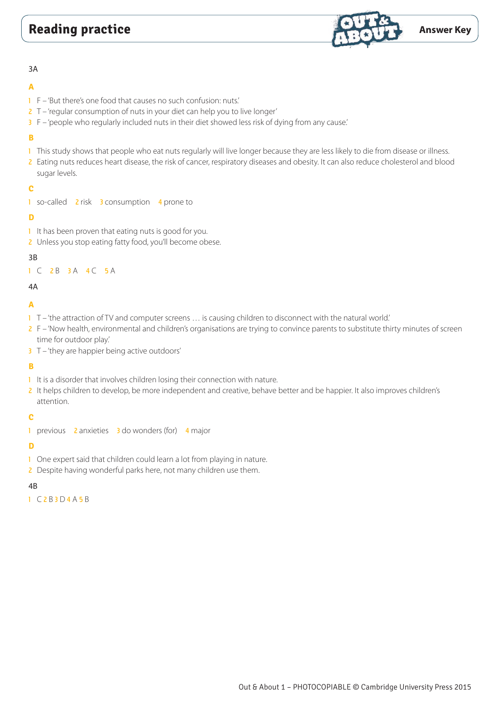

#### 3A

# **A**

- 1 F 'But there's one food that causes no such confusion: nuts.'
- 2 T 'regular consumption of nuts in your diet can help you to live longer'
- 3 F 'people who regularly included nuts in their diet showed less risk of dying from any cause.'

# **B**

- 1 This study shows that people who eat nuts regularly will live longer because they are less likely to die from disease or illness.
- 2 Eating nuts reduces heart disease, the risk of cancer, respiratory diseases and obesity. It can also reduce cholesterol and blood sugar levels.

# **C**

1 so-called 2 risk 3 consumption 4 prone to

# **D**

- 1 It has been proven that eating nuts is good for you.
- 2 Unless you stop eating fatty food, you'll become obese.

# 3B

1 C 2 B 3 A 4 C 5 A

# 4A

# **A**

- $1 -$  T 'the attraction of TV and computer screens ... is causing children to disconnect with the natural world.'
- 2 F 'Now health, environmental and children's organisations are trying to convince parents to substitute thirty minutes of screen time for outdoor play.'
- 3 T 'they are happier being active outdoors'

# **B**

- 1 It is a disorder that involves children losing their connection with nature.
- 2 It helps children to develop, be more independent and creative, behave better and be happier. It also improves children's attention.

# **C**

1 previous 2 anxieties 3 do wonders (for) 4 major

# **D**

- 1 One expert said that children could learn a lot from playing in nature.
- 2 Despite having wonderful parks here, not many children use them.

# 4B

1 C 2 B 3 D 4 A 5 B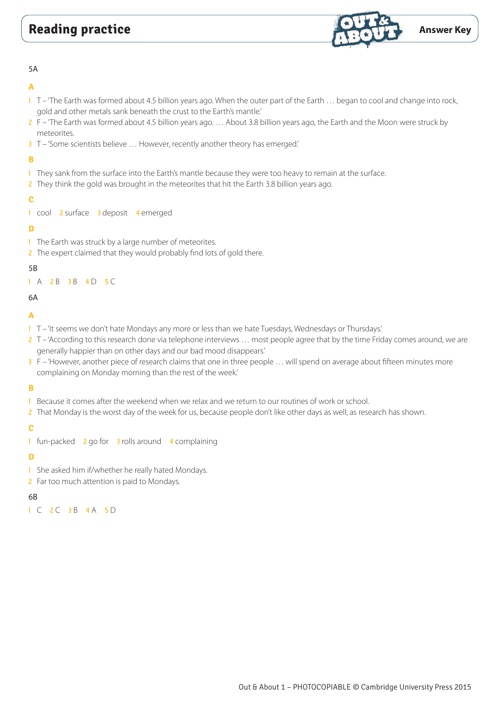

#### 5A

### **A**

- 1 T 'The Earth was formed about 4.5 billion years ago. When the outer part of the Earth ... began to cool and change into rock, gold and other metals sank beneath the crust to the Earth's mantle.'
- 2 F 'The Earth was formed about 4.5 billion years ago. … About 3.8 billion years ago, the Earth and the Moon were struck by meteorites.
- 3 T 'Some scientists believe ... However, recently another theory has emerged.'

# **B**

- 1 They sank from the surface into the Earth's mantle because they were too heavy to remain at the surface.
- 2 They think the gold was brought in the meteorites that hit the Earth 3.8 billion years ago.

## **C**

1 cool 2 surface 3 deposit 4 emerged

### **D**

- 1 The Earth was struck by a large number of meteorites.
- 2 The expert claimed that they would probably find lots of gold there.

#### 5B

#### 1 A 2 B 3 B 4 D 5 C

6A

## **A**

- 1 T 'It seems we don't hate Mondays any more or less than we hate Tuesdays, Wednesdays or Thursdays.'
- 2 T 'According to this research done via telephone interviews ... most people agree that by the time Friday comes around, we are generally happier than on other days and our bad mood disappears.'
- 3 F 'However, another piece of research claims that one in three people … will spend on average about fifteen minutes more complaining on Monday morning than the rest of the week.'

### **B**

- 1 Because it comes after the weekend when we relax and we return to our routines of work or school.
- 2 That Monday is the worst day of the week for us, because people don't like other days as well, as research has shown.

### **C**

1 fun-packed 2 go for 3 rolls around 4 complaining

#### **D**

- 1 She asked him if/whether he really hated Mondays.
- 2 Far too much attention is paid to Mondays.

### 6B

1 C 2 C 3 B 4 A 5 D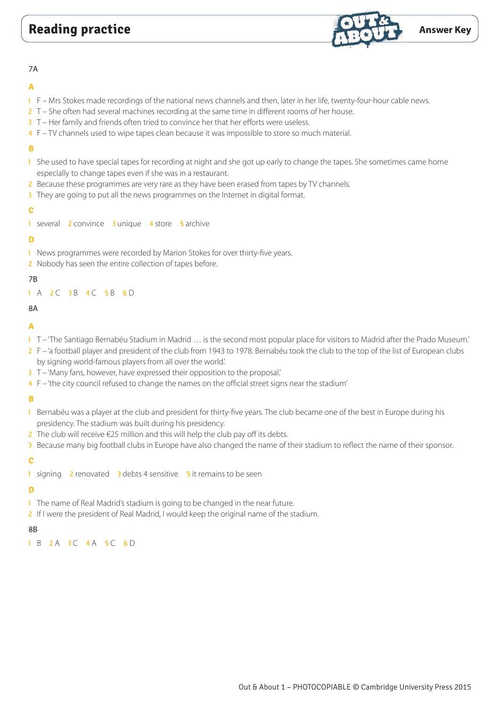

#### 7A

## **A**

- 1 F Mrs Stokes made recordings of the national news channels and then, later in her life, twenty-four-hour cable news.
- 2 T She often had several machines recording at the same time in different rooms of her house.
- 3 T Her family and friends often tried to convince her that her efforts were useless.
- 4 F TV channels used to wipe tapes clean because it was impossible to store so much material.

## **B**

- 1 She used to have special tapes for recording at night and she got up early to change the tapes. She sometimes came home especially to change tapes even if she was in a restaurant.
- 2 Because these programmes are very rare as they have been erased from tapes by TV channels.
- 3 They are going to put all the news programmes on the Internet in digital format.

### **C**

1 several 2 convince 3 unique 4 store 5 archive

## **D**

- 1 News programmes were recorded by Marion Stokes for over thirty-five years.
- 2 Nobody has seen the entire collection of tapes before.

# 7B

# 1 A 2 C 3 B 4 C 5 B 6 D

## 8A

# **A**

- 1 T 'The Santiago Bernabéu Stadium in Madrid ... is the second most popular place for visitors to Madrid after the Prado Museum.'
- 2 F 'a football player and president of the club from 1943 to 1978. Bernabéu took the club to the top of the list of European clubs by signing world-famous players from all over the world.'
- 3 T 'Many fans, however, have expressed their opposition to the proposal.'
- 4 F 'the city council refused to change the names on the official street signs near the stadium'

# **B**

- 1 Bernabéu was a player at the club and president for thirty-five years. The club became one of the best in Europe during his presidency. The stadium was built during his presidency.
- 2 The club will receive €25 million and this will help the club pay off its debts.
- 3 Because many big football clubs in Europe have also changed the name of their stadium to reflect the name of their sponsor.

### **C**

1 signing 2 renovated 3 debts 4 sensitive 5 it remains to be seen

# **D**

- <sup>1</sup> The name of Real Madrid's stadium is going to be changed in the near future.
- 2 If I were the president of Real Madrid, I would keep the original name of the stadium.

### 8B

1 B 2 A 3 C 4 A 5 C 6 D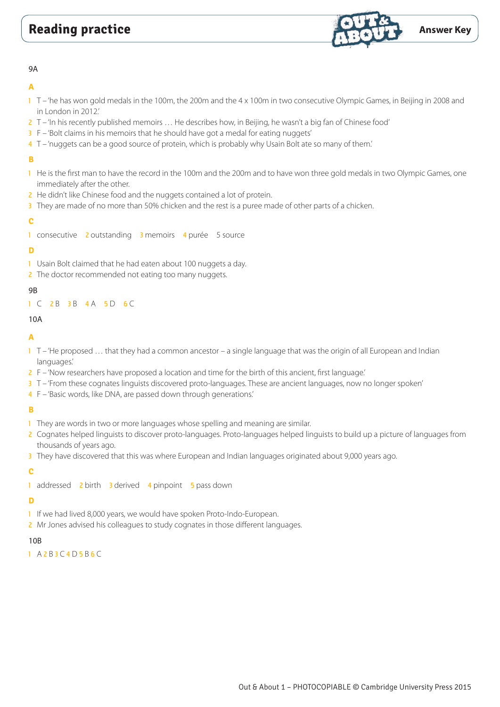

#### 9A

### **A**

- 1 T 'he has won gold medals in the 100m, the 200m and the 4 x 100m in two consecutive Olympic Games, in Beijing in 2008 and in London in 2012.'
- 2 T 'In his recently published memoirs … He describes how, in Beijing, he wasn't a big fan of Chinese food'
- 3 F 'Bolt claims in his memoirs that he should have got a medal for eating nuggets'
- 4 T 'nuggets can be a good source of protein, which is probably why Usain Bolt ate so many of them.'

# **B**

- 1 He is the first man to have the record in the 100m and the 200m and to have won three gold medals in two Olympic Games, one immediately after the other.
- 2 He didn't like Chinese food and the nuggets contained a lot of protein.
- 3 They are made of no more than 50% chicken and the rest is a puree made of other parts of a chicken.

### **C**

1 consecutive 2 outstanding 3 memoirs 4 purée 5 source

### **D**

- 1 Usain Bolt claimed that he had eaten about 100 nuggets a day.
- 2 The doctor recommended not eating too many nuggets.

## 9B

## 1 C 2 B 3 B 4 A 5 D 6 C

### 10A

## **A**

- $1$  T 'He proposed ... that they had a common ancestor a single language that was the origin of all European and Indian languages.'
- 2 F 'Now researchers have proposed a location and time for the birth of this ancient, first language.'
- 3 T 'From these cognates linguists discovered proto-languages. These are ancient languages, now no longer spoken'
- 4 F 'Basic words, like DNA, are passed down through generations.'

# **B**

- 1 They are words in two or more languages whose spelling and meaning are similar.
- 2 Cognates helped linguists to discover proto-languages. Proto-languages helped linguists to build up a picture of languages from thousands of years ago.
- 3 They have discovered that this was where European and Indian languages originated about 9,000 years ago.

# **C**

1 addressed 2 birth 3 derived 4 pinpoint 5 pass down

# **D**

- 1 If we had lived 8,000 years, we would have spoken Proto-Indo-European.
- 2 Mr Jones advised his colleagues to study cognates in those different languages.

# $10B$

# 1 A 2 B 3 C 4 D 5 B 6 C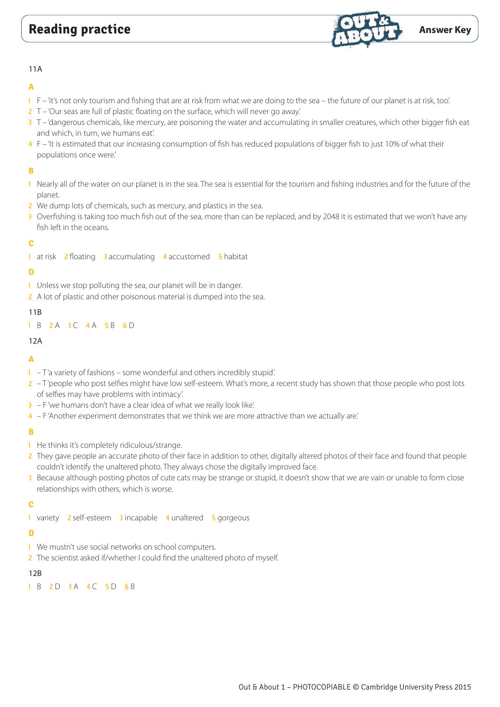

#### 11A

### **A**

- 1 F 'it's not only tourism and fishing that are at risk from what we are doing to the sea the future of our planet is at risk, too'.
- 2 T 'Our seas are full of plastic floating on the surface, which will never go away.'
- 3 T 'dangerous chemicals, like mercury, are poisoning the water and accumulating in smaller creatures, which other bigger fish eat and which, in turn, we humans eat'.
- 4 F 'It is estimated that our increasing consumption of fish has reduced populations of bigger fish to just 10% of what their populations once were.'

## **B**

- 1 Nearly all of the water on our planet is in the sea. The sea is essential for the tourism and fishing industries and for the future of the planet.
- 2 We dump lots of chemicals, such as mercury, and plastics in the sea.
- 3 Overfishing is taking too much fish out of the sea, more than can be replaced, and by 2048 it is estimated that we won't have any fish left in the oceans.

### **C**

1 at risk 2 floating 3 accumulating 4 accustomed 5 habitat

### **D**

- 1 Unless we stop polluting the sea, our planet will be in danger.
- 2 A lot of plastic and other poisonous material is dumped into the sea.

#### 11B

1 B 2 A 3 C 4 A 5 B 6 D

#### 12A

### **A**

- $1 T'$  a variety of fashions some wonderful and others incredibly stupid'.
- 2 T'people who post selfies might have low self-esteem. What's more, a recent study has shown that those people who post lots of selfies may have problems with intimacy'.
- $3 F'$  we humans don't have a clear idea of what we really look like'.
- 4 F 'Another experiment demonstrates that we think we are more attractive than we actually are.'

### **B**

- 1 He thinks it's completely ridiculous/strange.
- 2 They gave people an accurate photo of their face in addition to other, digitally altered photos of their face and found that people couldn't identify the unaltered photo. They always chose the digitally improved face.
- 3 Because although posting photos of cute cats may be strange or stupid, it doesn't show that we are vain or unable to form close relationships with others, which is worse.

### **C**

1 variety 2 self-esteem 3 incapable 4 unaltered 5 gorgeous

### **D**

- 1 We mustn't use social networks on school computers.
- 2 The scientist asked if/whether I could find the unaltered photo of myself.

### 12B

1 B 2 D 3 A 4 C 5 D 6 B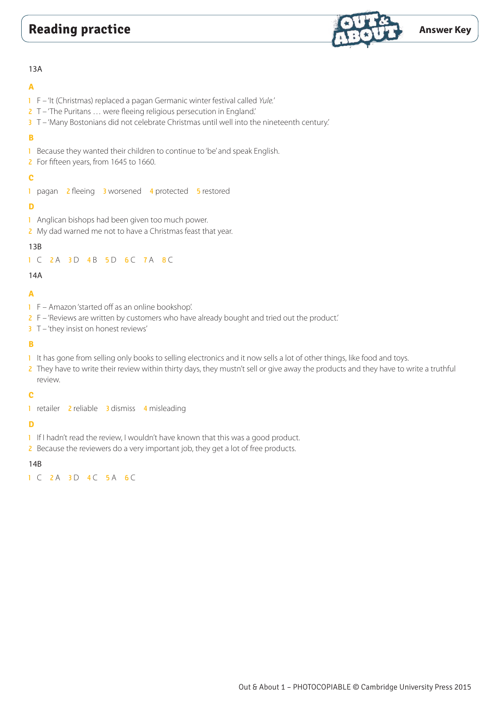# **Reading practice Answer Key**



#### 13A

## **A**

- 1 F 'It (Christmas) replaced a pagan Germanic winter festival called *Yule.*'
- 2 T 'The Puritans … were fleeing religious persecution in England.'
- 3 T 'Many Bostonians did not celebrate Christmas until well into the nineteenth century.'

## **B**

- 1 Because they wanted their children to continue to 'be' and speak English.
- 2 For fifteen years, from 1645 to 1660.

# **C**

1 pagan 2 fleeing 3 worsened 4 protected 5 restored

#### **D**

- 1 Anglican bishops had been given too much power.
- 2 My dad warned me not to have a Christmas feast that year.

### 13B

#### 1 C 2A 3D 4B 5D 6C 7A 8C

### 14A

# **A**

- 1 F Amazon 'started off as an online bookshop'.
- 2 F 'Reviews are written by customers who have already bought and tried out the product.'
- 3 T 'they insist on honest reviews'

### **B**

- 1 It has gone from selling only books to selling electronics and it now sells a lot of other things, like food and toys.
- 2 They have to write their review within thirty days, they mustn't sell or give away the products and they have to write a truthful review.

### **C**

1 retailer 2 reliable 3 dismiss 4 misleading

# **D**

- 1 If I hadn't read the review, I wouldn't have known that this was a good product.
- 2 Because the reviewers do a very important job, they get a lot of free products.

### 14B

1 C 2 A 3 D 4 C 5 A 6 C